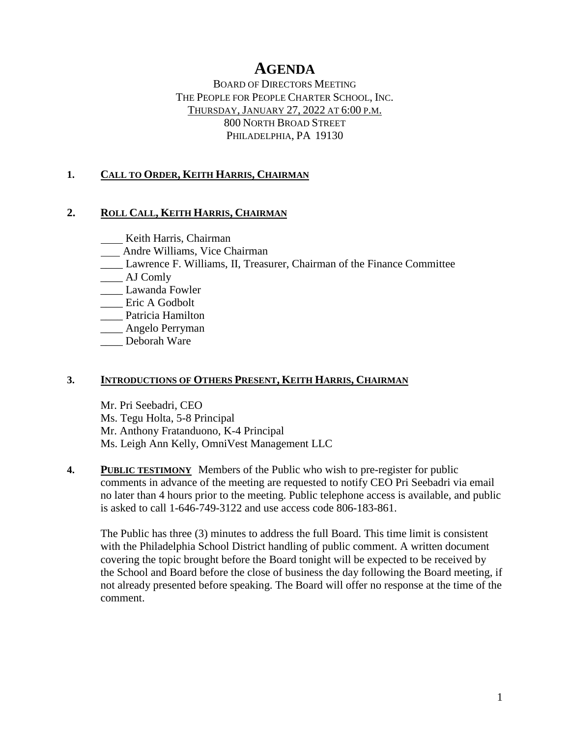# **AGENDA**

BOARD OF DIRECTORS MEETING THE PEOPLE FOR PEOPLE CHARTER SCHOOL, INC. THURSDAY, JANUARY 27, 2022 AT 6:00 P.M. 800 NORTH BROAD STREET PHILADELPHIA, PA 19130

## **1. CALL TO ORDER, KEITH HARRIS, CHAIRMAN**

### **2. ROLL CALL, KEITH HARRIS, CHAIRMAN**

**Keith Harris, Chairman** 

- Andre Williams, Vice Chairman
- \_\_\_\_ Lawrence F. Williams, II, Treasurer, Chairman of the Finance Committee
- \_\_\_\_ AJ Comly
- \_\_\_\_ Lawanda Fowler
- \_\_\_\_ Eric A Godbolt
- \_\_\_\_ Patricia Hamilton
- \_\_\_\_ Angelo Perryman
- Deborah Ware

### **3. INTRODUCTIONS OF OTHERS PRESENT, KEITH HARRIS, CHAIRMAN**

Mr. Pri Seebadri, CEO Ms. Tegu Holta, 5-8 Principal Mr. Anthony Fratanduono, K-4 Principal Ms. Leigh Ann Kelly, OmniVest Management LLC

**4. PUBLIC TESTIMONY** Members of the Public who wish to pre-register for public comments in advance of the meeting are requested to notify CEO Pri Seebadri via email no later than 4 hours prior to the meeting. Public telephone access is available, and public is asked to call 1-646-749-3122 and use access code 806-183-861.

The Public has three (3) minutes to address the full Board. This time limit is consistent with the Philadelphia School District handling of public comment. A written document covering the topic brought before the Board tonight will be expected to be received by the School and Board before the close of business the day following the Board meeting, if not already presented before speaking. The Board will offer no response at the time of the comment.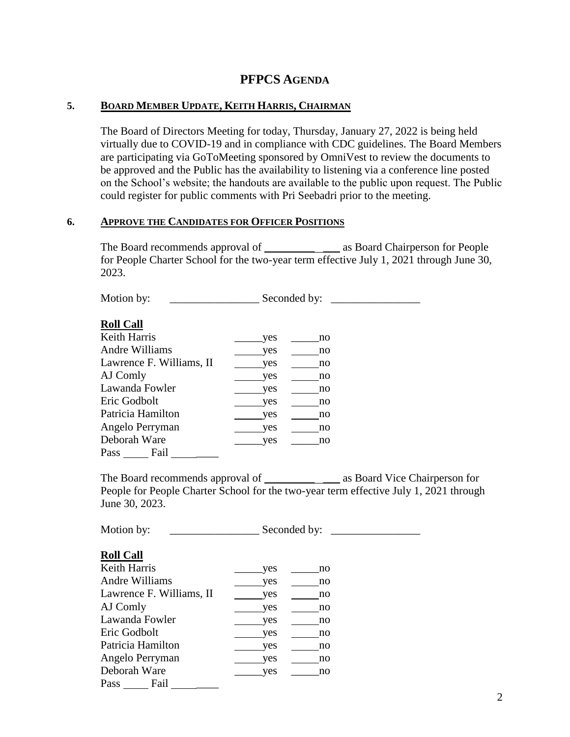### **5. BOARD MEMBER UPDATE, KEITH HARRIS, CHAIRMAN**

The Board of Directors Meeting for today, Thursday, January 27, 2022 is being held virtually due to COVID-19 and in compliance with CDC guidelines. The Board Members are participating via GoToMeeting sponsored by OmniVest to review the documents to be approved and the Public has the availability to listening via a conference line posted on the School's website; the handouts are available to the public upon request. The Public could register for public comments with Pri Seebadri prior to the meeting.

#### **6. APPROVE THE CANDIDATES FOR OFFICER POSITIONS**

The Board recommends approval of \_\_\_\_\_\_\_\_\_\_\_\_\_ as Board Chairperson for People for People Charter School for the two-year term effective July 1, 2021 through June 30, 2023.

Motion by: \_\_\_\_\_\_\_\_\_\_\_\_\_\_\_\_ Seconded by: \_\_\_\_\_\_\_\_\_\_\_\_\_\_\_\_

### **Roll Call**

| Keith Harris             | yes | no |
|--------------------------|-----|----|
| Andre Williams           | yes | no |
| Lawrence F. Williams, II | yes | no |
| AJ Comly                 | yes | no |
| Lawanda Fowler           | yes | no |
| Eric Godbolt             | yes | no |
| Patricia Hamilton        | yes | no |
| Angelo Perryman          | yes | no |
| Deborah Ware             | yes | no |
| Fail<br>Pass             |     |    |

The Board recommends approval of \_\_\_\_\_\_\_\_\_\_\_\_ as Board Vice Chairperson for People for People Charter School for the two-year term effective July 1, 2021 through June 30, 2023.

Motion by: \_\_\_\_\_\_\_\_\_\_\_\_\_\_\_\_ Seconded by: \_\_\_\_\_\_\_\_\_\_\_\_\_\_\_\_

### **Roll Call**

| Keith Harris             | yes | no |
|--------------------------|-----|----|
| Andre Williams           | yes | no |
| Lawrence F. Williams, II | yes | no |
| AJ Comly                 | yes | no |
| Lawanda Fowler           | yes | no |
| Eric Godbolt             | yes | no |
| Patricia Hamilton        | yes | no |
| Angelo Perryman          | yes | no |
| Deborah Ware             | yes | no |
| Pass<br>Fail             |     |    |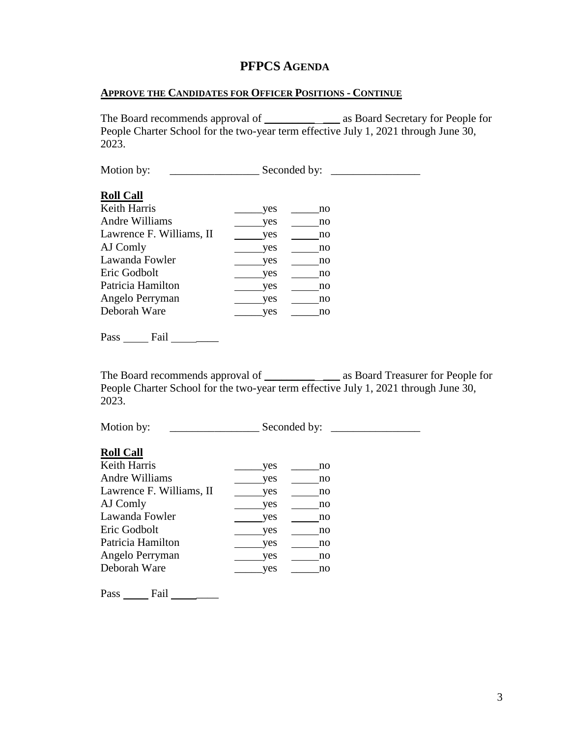#### **APPROVE THE CANDIDATES FOR OFFICER POSITIONS - CONTINUE**

The Board recommends approval of \_\_\_\_\_\_\_\_\_\_\_\_ as Board Secretary for People for People Charter School for the two-year term effective July 1, 2021 through June 30, 2023.

| Motion by:               | Seconded by: |  |
|--------------------------|--------------|--|
| <b>Roll Call</b>         |              |  |
| Keith Harris             | yes<br>no    |  |
| Andre Williams           | yes<br>no    |  |
| Lawrence F. Williams, II | yes<br>no    |  |
| AJ Comly                 | yes<br>no    |  |
| Lawanda Fowler           | yes<br>no    |  |
| Eric Godbolt             | yes<br>no    |  |
| Patricia Hamilton        | yes<br>no    |  |
| Angelo Perryman          | yes<br>no    |  |
| Deborah Ware             | yes<br>no    |  |
|                          |              |  |
| $\overline{\phantom{a}}$ |              |  |

Pass Fail

The Board recommends approval of \_\_\_\_\_\_\_\_\_\_ \_\_\_ as Board Treasurer for People for People Charter School for the two-year term effective July 1, 2021 through June 30, 2023.

Motion by: \_\_\_\_\_\_\_\_\_\_\_\_\_\_\_\_ Seconded by: \_\_\_\_\_\_\_\_\_\_\_\_\_\_\_\_

#### **Roll Call**

| Keith Harris             | yes | no |
|--------------------------|-----|----|
| Andre Williams           | yes | no |
| Lawrence F. Williams, II | ves | no |
| AJ Comly                 | yes | no |
| Lawanda Fowler           | yes | no |
| Eric Godbolt             | yes | no |
| Patricia Hamilton        | yes | no |
| Angelo Perryman          | yes | no |
| Deborah Ware             | ves | no |
|                          |     |    |

Pass Fail \_\_\_\_\_\_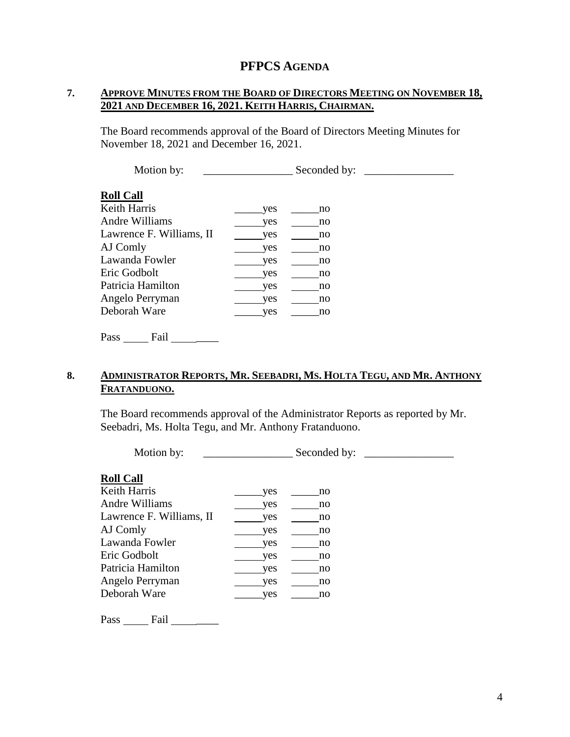## **7. APPROVE MINUTES FROM THE BOARD OF DIRECTORS MEETING ON NOVEMBER 18, 2021 AND DECEMBER 16, 2021. KEITH HARRIS, CHAIRMAN.**

The Board recommends approval of the Board of Directors Meeting Minutes for November 18, 2021 and December 16, 2021.

| Motion by:                       |     | Seconded by: |  |
|----------------------------------|-----|--------------|--|
| <b>Roll Call</b><br>Keith Harris | yes | no           |  |
| Andre Williams                   | yes | no           |  |
| Lawrence F. Williams, II         | yes | no           |  |
| AJ Comly                         | yes | no           |  |
| Lawanda Fowler                   | yes | no           |  |
| Eric Godbolt                     | yes | no           |  |
| Patricia Hamilton                | yes | no           |  |
| Angelo Perryman                  | yes | no           |  |
| Deborah Ware                     | yes | no           |  |
|                                  |     |              |  |

Pass Fail

## 8. ADMINISTRATOR REPORTS, MR. SEEBADRI, MS. HOLTA TEGU, AND MR. ANTHONY **FRATANDUONO.**

The Board recommends approval of the Administrator Reports as reported by Mr. Seebadri, Ms. Holta Tegu, and Mr. Anthony Fratanduono.

| Motion by:                       |     | Seconded by: |  |
|----------------------------------|-----|--------------|--|
| <b>Roll Call</b><br>Keith Harris | yes | no           |  |
| Andre Williams                   | yes | no           |  |
| Lawrence F. Williams, II         | yes | no           |  |
| AJ Comly                         | yes | no           |  |
| Lawanda Fowler                   | yes | no           |  |
| Eric Godbolt                     | yes | no           |  |
| Patricia Hamilton                | yes | no           |  |
| Angelo Perryman                  | yes | no           |  |
| Deborah Ware                     | yes | no           |  |
|                                  |     |              |  |

Pass \_\_\_\_\_\_\_ Fail \_\_\_\_\_\_\_\_\_\_\_\_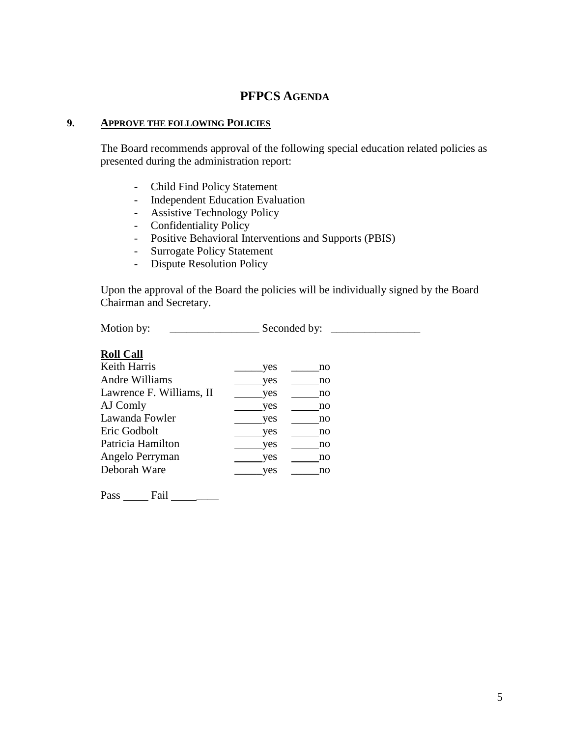#### **9. APPROVE THE FOLLOWING POLICIES**

The Board recommends approval of the following special education related policies as presented during the administration report:

- Child Find Policy Statement
- Independent Education Evaluation
- Assistive Technology Policy
- Confidentiality Policy
- Positive Behavioral Interventions and Supports (PBIS)
- Surrogate Policy Statement
- Dispute Resolution Policy

Upon the approval of the Board the policies will be individually signed by the Board Chairman and Secretary.

Motion by: \_\_\_\_\_\_\_\_\_\_\_\_\_\_\_\_ Seconded by: \_\_\_\_\_\_\_\_\_\_\_\_\_\_\_\_

## **Roll Call**

| yes | no |
|-----|----|
| yes | no |
| yes | no |
| yes | no |
| yes | no |
| yes | no |
| yes | no |
| yes | no |
| ves | no |
|     |    |

Pass Fail \_\_\_\_\_\_